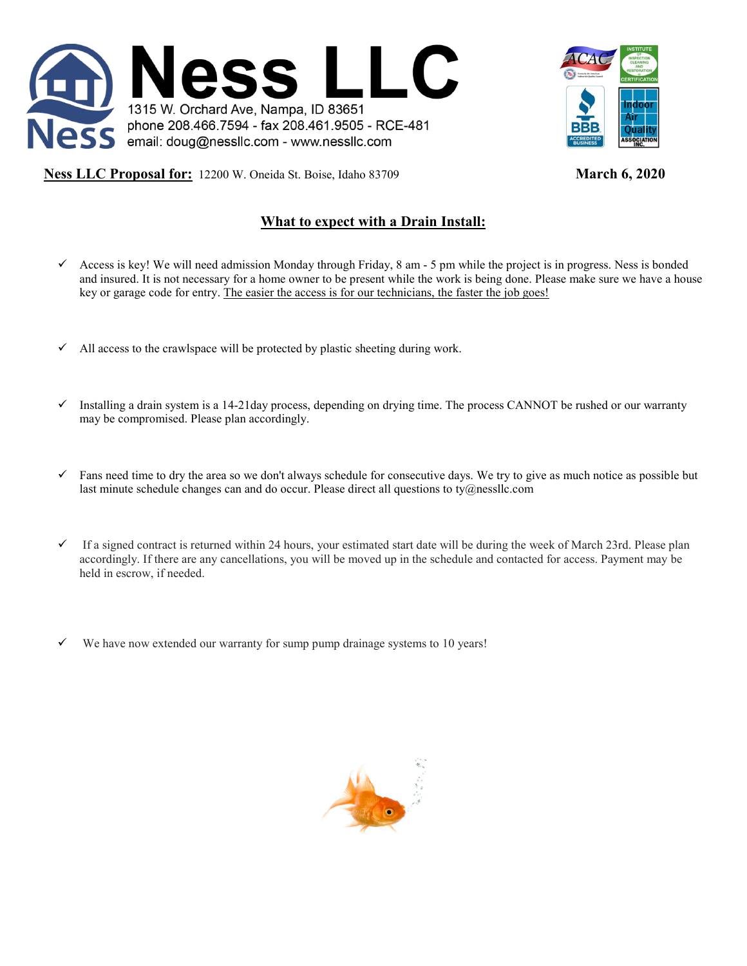



**Ness LLC Proposal for:** 12200 W. Oneida St. Boise, Idaho 83709 **March 6, 2020**

## **What to expect with a Drain Install:**

- $\checkmark$  Access is key! We will need admission Monday through Friday, 8 am 5 pm while the project is in progress. Ness is bonded and insured. It is not necessary for a home owner to be present while the work is being done. Please make sure we have a house key or garage code for entry. The easier the access is for our technicians, the faster the job goes!
- $\checkmark$  All access to the crawlspace will be protected by plastic sheeting during work.
- $\checkmark$  Installing a drain system is a 14-21day process, depending on drying time. The process CANNOT be rushed or our warranty may be compromised. Please plan accordingly.
- $\checkmark$  Fans need time to dry the area so we don't always schedule for consecutive days. We try to give as much notice as possible but last minute schedule changes can and do occur. Please direct all questions to ty@nessllc.com
- If a signed contract is returned within 24 hours, your estimated start date will be during the week of March 23rd. Please plan accordingly. If there are any cancellations, you will be moved up in the schedule and contacted for access. Payment may be held in escrow, if needed.
- We have now extended our warranty for sump pump drainage systems to 10 years!